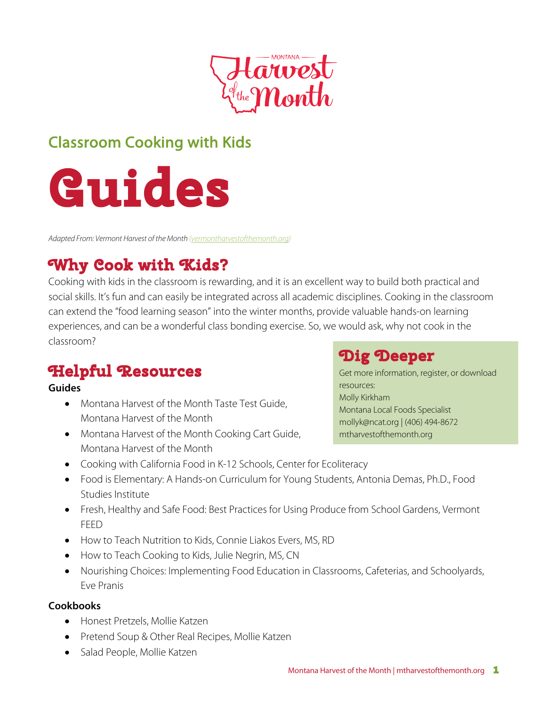

## Classroom Cooking with Kids



*Adapted From: Vermont Harvest of the Month (vermontharvestofthemonth.org)*

# **Why Cook with Kids?**

Cooking with kids in the classroom is rewarding, and it is an excellent way to build both practical and social skills. It's fun and can easily be integrated across all academic disciplines. Cooking in the classroom can extend the "food learning season" into the winter months, provide valuable hands-on learning experiences, and can be a wonderful class bonding exercise. So, we would ask, why not cook in the classroom?

## **Helpful Resources**

### **Guides**

- Montana Harvest of the Month Taste Test Guide, Montana Harvest of the Month
- Montana Harvest of the Month Cooking Cart Guide, Montana Harvest of the Month

### **Dig Deeper**

Get more information, register, or download resources: Molly Kirkham Montana Local Foods Specialist mollyk@ncat.org | (406) 494-8672 mtharvestofthemonth.org

- Cooking with California Food in K-12 Schools, Center for Ecoliteracy
- Food is Elementary: A Hands-on Curriculum for Young Students, Antonia Demas, Ph.D., Food Studies Institute
- Fresh, Healthy and Safe Food: Best Practices for Using Produce from School Gardens, Vermont FEED
- How to Teach Nutrition to Kids, Connie Liakos Evers, MS, RD
- How to Teach Cooking to Kids, Julie Negrin, MS, CN
- Nourishing Choices: Implementing Food Education in Classrooms, Cafeterias, and Schoolyards, Eve Pranis

### **ookbooks C**

- Honest Pretzels, Mollie Katzen
- Pretend Soup & Other Real Recipes, Mollie Katzen
- Salad People, Mollie Katzen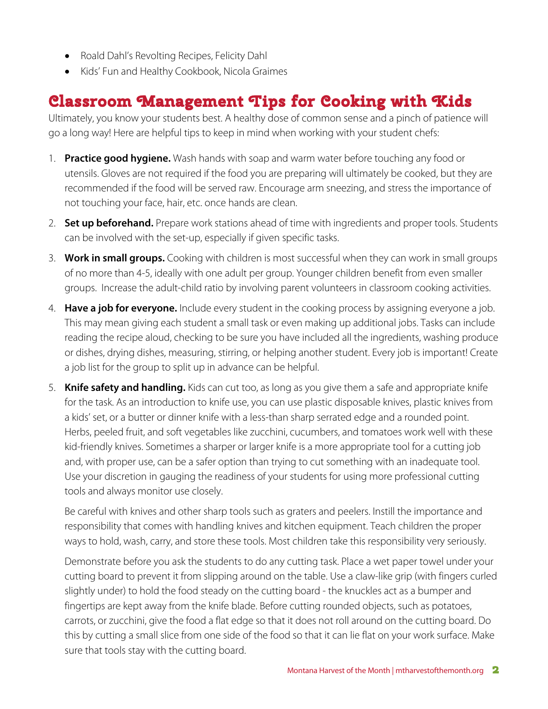- Roald Dahl's Revolting Recipes, Felicity Dahl
- Kids' Fun and Healthy Cookbook, Nicola Graimes

## **Classroom Management Tips for Cooking with Kids**

Ultimately, you know your students best. A healthy dose of common sense and a pinch of patience will go a long way! Here are helpful tips to keep in mind when working with your student chefs:

- 1. **Practice good hygiene.** Wash hands with soap and warm water before touching any food or utensils. Gloves are not required if the food you are preparing will ultimately be cooked, but they are recommended if the food will be served raw. Encourage arm sneezing, and stress the importance of not touching your face, hair, etc. once hands are clean.
- 2. **Set up beforehand.** Prepare work stations ahead of time with ingredients and proper tools. Students can be involved with the set-up, especially if given specific tasks.
- 3. **Work in small groups.** Cooking with children is most successful when they can work in small groups of no more than 4-5, ideally with one adult per group. Younger children benefit from even smaller groups. Increase the adult-child ratio by involving parent volunteers in classroom cooking activities.
- 4. **Have a job for everyone.** Include every student in the cooking process by assigning everyone a job. This may mean giving each student a small task or even making up additional jobs. Tasks can include reading the recipe aloud, checking to be sure you have included all the ingredients, washing produce or dishes, drying dishes, measuring, stirring, or helping another student. Every job is important! Create a job list for the group to split up in advance can be helpful.
- 5. **Knife safety and handling.** Kids can cut too, as long as you give them a safe and appropriate knife for the task. As an introduction to knife use, you can use plastic disposable knives, plastic knives from a kids' set, or a butter or dinner knife with a less-than sharp serrated edge and a rounded point. Herbs, peeled fruit, and soft vegetables like zucchini, cucumbers, and tomatoes work well with these kid-friendly knives. Sometimes a sharper or larger knife is a more appropriate tool for a cutting job and, with proper use, can be a safer option than trying to cut something with an inadequate tool. Use your discretion in gauging the readiness of your students for using more professional cutting tools and always monitor use closely.

Be careful with knives and other sharp tools such as graters and peelers. Instill the importance and responsibility that comes with handling knives and kitchen equipment. Teach children the proper ways to hold, wash, carry, and store these tools. Most children take this responsibility very seriously.

Demonstrate before you ask the students to do any cutting task. Place a wet paper towel under your cutting board to prevent it from slipping around on the table. Use a claw-like grip (with fingers curled slightly under) to hold the food steady on the cutting board - the knuckles act as a bumper and fingertips are kept away from the knife blade. Before cutting rounded objects, such as potatoes, carrots, or zucchini, give the food a flat edge so that it does not roll around on the cutting board. Do this by cutting a small slice from one side of the food so that it can lie flat on your work surface. Make sure that tools stay with the cutting board.